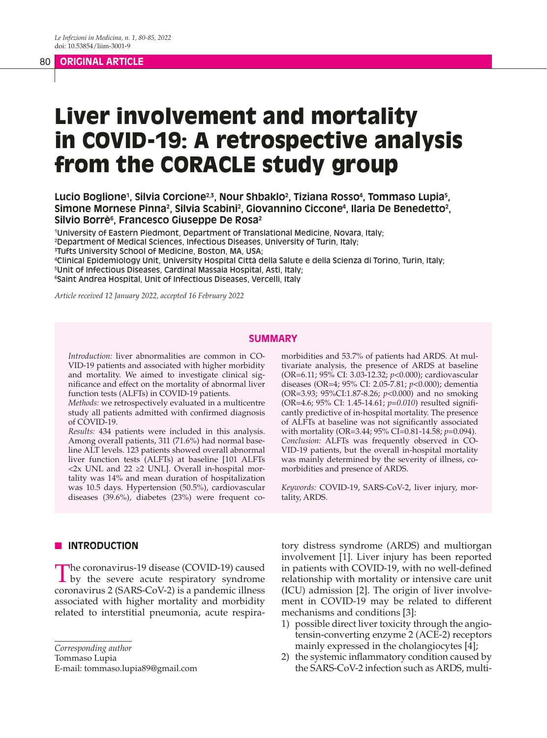#### 80 **ORIGINAL ARTICLE**

# Liver involvement and mortality in COVID-19: A retrospective analysis from the CORACLE study group

## Lucio Boglione<sup>1</sup>, Silvia Corcione<sup>2.3</sup>, Nour Shbaklo<sup>2</sup>, Tiziana Rosso<sup>4</sup>, Tommaso Lupia<sup>5</sup>, Simone Mornese Pinna<sup>2</sup>, Silvia Scabini<sup>2</sup>, Giovannino Ciccone<sup>4</sup>, Ilaria De Benedetto<sup>2</sup>, **Silvio Borrè6 , Francesco Giuseppe De Rosa2**

1 University of Eastern Piedmont, Department of Translational Medicine, Novara, Italy; 2 Department of Medical Sciences, Infectious Diseases, University of Turin, Italy;

3 Tufts University School of Medicine, Boston, MA, USA;

4 Clinical Epidemiology Unit, University Hospital Città della Salute e della Scienza di Torino, Turin, Italy;

5 Unit of Infectious Diseases, Cardinal Massaia Hospital, Asti, Italy;

6 Saint Andrea Hospital, Unit of Infectious Diseases, Vercelli, Italy

*Article received 12 January 2022, accepted 16 February 2022*

#### **SUMMARY**

*Introduction:* liver abnormalities are common in CO-VID-19 patients and associated with higher morbidity and mortality. We aimed to investigate clinical significance and effect on the mortality of abnormal liver function tests (ALFTs) in COVID-19 patients.

*Methods:* we retrospectively evaluated in a multicentre study all patients admitted with confirmed diagnosis of COVID-19.

*Results:* 434 patients were included in this analysis. Among overall patients, 311 (71.6%) had normal baseline ALT levels. 123 patients showed overall abnormal liver function tests (ALFTs) at baseline [101 ALFTs <2x UNL and 22 ≥2 UNL]. Overall in-hospital mortality was 14% and mean duration of hospitalization was 10.5 days. Hypertension (50.5%), cardiovascular diseases (39.6%), diabetes (23%) were frequent comorbidities and 53.7% of patients had ARDS. At multivariate analysis, the presence of ARDS at baseline (OR=6.11; 95% CI: 3.03-12.32; *p*<0.000); cardiovascular diseases (OR=4; 95% CI: 2.05-7.81; *p*<0.000); dementia (OR=3.93; 95%CI:1.87-8.26; *p*<0.000) and no smoking (OR=4.6; 95% CI: 1.45-14.61; *p=0.010*) resulted significantly predictive of in-hospital mortality. The presence of ALFTs at baseline was not significantly associated with mortality (OR=3.44; 95% CI=0.81-14.58; *p*=0.094). *Conclusion:* ALFTs was frequently observed in CO-VID-19 patients, but the overall in-hospital mortality was mainly determined by the severity of illness, comorbidities and presence of ARDS.

*Keywords:* COVID-19, SARS-CoV-2, liver injury, mortality, ARDS.

## **N** INTRODUCTION

The coronavirus-19 disease (COVID-19) caused<br>by the severe acute respiratory syndrome coronavirus 2 (SARS-CoV-2) is a pandemic illness associated with higher mortality and morbidity related to interstitial pneumonia, acute respira-

*Corresponding author*

Tommaso Lupia

E-mail: tommaso.lupia89@gmail.com

tory distress syndrome (ARDS) and multiorgan involvement [1]. Liver injury has been reported in patients with COVID-19, with no well-defined relationship with mortality or intensive care unit (ICU) admission [2]. The origin of liver involvement in COVID-19 may be related to different mechanisms and conditions [3]:

- 1) possible direct liver toxicity through the angiotensin-converting enzyme 2 (ACE-2) receptors mainly expressed in the cholangiocytes [4];
- 2) the systemic inflammatory condition caused by the SARS-CoV-2 infection such as ARDS, multi-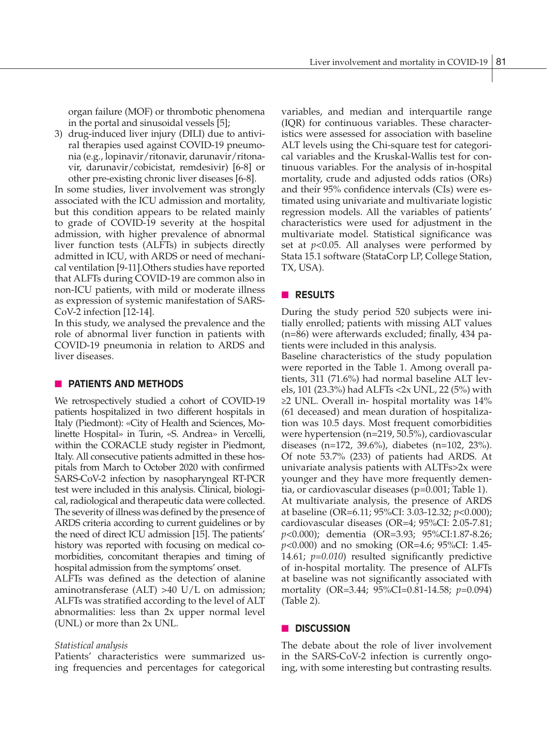organ failure (MOF) or thrombotic phenomena in the portal and sinusoidal vessels [5];

3) drug-induced liver injury (DILI) due to antiviral therapies used against COVID-19 pneumonia (e.g., lopinavir/ritonavir, darunavir/ritonavir, darunavir/cobicistat, remdesivir) [6-8] or other pre-existing chronic liver diseases [6-8].

In some studies, liver involvement was strongly associated with the ICU admission and mortality, but this condition appears to be related mainly to grade of COVID-19 severity at the hospital admission, with higher prevalence of abnormal liver function tests (ALFTs) in subjects directly admitted in ICU, with ARDS or need of mechanical ventilation [9-11].Others studies have reported that ALFTs during COVID-19 are common also in non-ICU patients, with mild or moderate illness as expression of systemic manifestation of SARS-CoV-2 infection [12-14].

In this study, we analysed the prevalence and the role of abnormal liver function in patients with COVID-19 pneumonia in relation to ARDS and liver diseases.

### **NO PATIENTS AND METHODS**

We retrospectively studied a cohort of COVID-19 patients hospitalized in two different hospitals in Italy (Piedmont): «City of Health and Sciences, Molinette Hospital» in Turin, «S. Andrea» in Vercelli, within the CORACLE study register in Piedmont, Italy. All consecutive patients admitted in these hospitals from March to October 2020 with confirmed SARS-CoV-2 infection by nasopharyngeal RT-PCR test were included in this analysis. Clinical, biological, radiological and therapeutic data were collected. The severity of illness was defined by the presence of ARDS criteria according to current guidelines or by the need of direct ICU admission [15]. The patients' history was reported with focusing on medical comorbidities, concomitant therapies and timing of hospital admission from the symptoms' onset.

ALFTs was defined as the detection of alanine aminotransferase (ALT) >40 U/L on admission; ALFTs was stratified according to the level of ALT abnormalities: less than 2x upper normal level (UNL) or more than 2x UNL.

#### *Statistical analysis*

Patients' characteristics were summarized using frequencies and percentages for categorical

variables, and median and interquartile range (IQR) for continuous variables. These characteristics were assessed for association with baseline ALT levels using the Chi-square test for categorical variables and the Kruskal-Wallis test for continuous variables. For the analysis of in-hospital mortality, crude and adjusted odds ratios (ORs) and their 95% confidence intervals (CIs) were estimated using univariate and multivariate logistic regression models. All the variables of patients' characteristics were used for adjustment in the multivariate model. Statistical significance was set at *p*<0.05. All analyses were performed by Stata 15.1 software (StataCorp LP, College Station, TX, USA).

### **n RESULTS**

During the study period 520 subjects were initially enrolled; patients with missing ALT values (n=86) were afterwards excluded; finally, 434 patients were included in this analysis.

Baseline characteristics of the study population were reported in the Table 1. Among overall patients, 311 (71.6%) had normal baseline ALT levels, 101 (23.3%) had ALFTs <2x UNL, 22 (5%) with ≥2 UNL. Overall in- hospital mortality was 14% (61 deceased) and mean duration of hospitalization was 10.5 days. Most frequent comorbidities were hypertension (n=219, 50.5%), cardiovascular diseases (n=172, 39.6%), diabetes (n=102, 23%). Of note 53.7% (233) of patients had ARDS. At univariate analysis patients with ALTFs>2x were younger and they have more frequently dementia, or cardiovascular diseases (p=0.001; Table 1). At multivariate analysis, the presence of ARDS at baseline (OR=6.11; 95%CI: 3.03-12.32; *p*<0.000); cardiovascular diseases (OR=4; 95%CI: 2.05-7.81; *p*<0.000); dementia (OR=3.93; 95%CI:1.87-8.26; *p*<0.000) and no smoking (OR=4.6; 95%CI: 1.45- 14.61; *p=0.010*) resulted significantly predictive of in-hospital mortality. The presence of ALFTs at baseline was not significantly associated with mortality (OR=3.44; 95%CI=0.81-14.58; *p*=0.094) (Table 2).

## n **DISCUSSION**

The debate about the role of liver involvement in the SARS-CoV-2 infection is currently ongoing, with some interesting but contrasting results.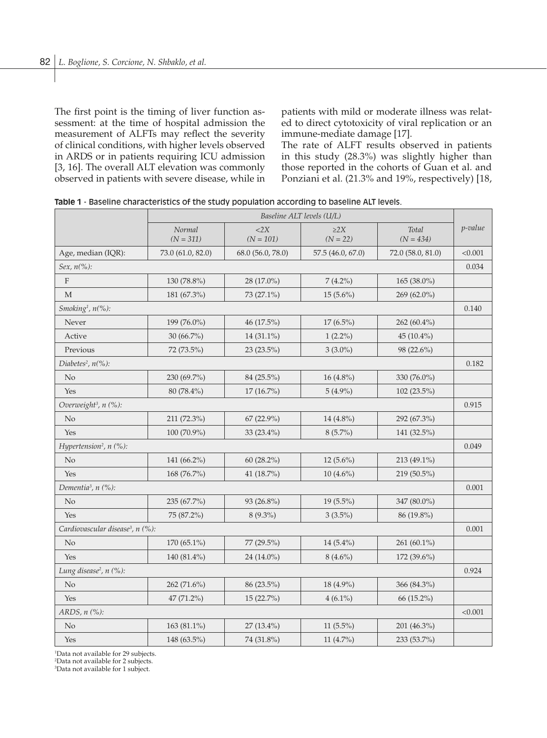The first point is the timing of liver function assessment: at the time of hospital admission the measurement of ALFTs may reflect the severity of clinical conditions, with higher levels observed in ARDS or in patients requiring ICU admission [3, 16]. The overall ALT elevation was commonly observed in patients with severe disease, while in patients with mild or moderate illness was related to direct cytotoxicity of viral replication or an immune-mediate damage [17].

The rate of ALFT results observed in patients in this study (28.3%) was slightly higher than those reported in the cohorts of Guan et al. and Ponziani et al. (21.3% and 19%, respectively) [18,

|                                              | Baseline ALT levels (U/L) |                          |                         |                      |         |  |
|----------------------------------------------|---------------------------|--------------------------|-------------------------|----------------------|---------|--|
|                                              | Normal<br>$(N = 311)$     | $<$ 2 $X$<br>$(N = 101)$ | $\geq$ 2X<br>$(N = 22)$ | Total<br>$(N = 434)$ | p-value |  |
| Age, median (IQR):                           | 73.0 (61.0, 82.0)         | 68.0 (56.0, 78.0)        | 57.5 (46.0, 67.0)       | 72.0 (58.0, 81.0)    | < 0.001 |  |
| Sex, $n(\%):$                                |                           |                          |                         |                      |         |  |
| $\mathbf{F}$                                 | 130 (78.8%)               | 28 (17.0%)               | $7(4.2\%)$              | $165(38.0\%)$        |         |  |
| M                                            | 181 (67.3%)               | 73 (27.1%)               | $15(5.6\%)$             | $269(62.0\%)$        |         |  |
| Smoking <sup>1</sup> , $n$ <sup>(%</sup> ):  |                           |                          |                         |                      |         |  |
| Never                                        | 199 (76.0%)               | 46 (17.5%)               | $17(6.5\%)$             | 262 $(60.4\%)$       |         |  |
| Active                                       | $30(66.7\%)$              | 14 (31.1%)               | $1(2.2\%)$              | 45 (10.4%)           |         |  |
| Previous                                     | 72 (73.5%)                | 23 (23.5%)               | $3(3.0\%)$              | 98 (22.6%)           |         |  |
| Diabetes <sup>2</sup> , $n$ (%):             |                           |                          |                         |                      | 0.182   |  |
| $\rm No$                                     | 230 (69.7%)               | 84 (25.5%)               | 16 (4.8%)               | 330 (76.0%)          |         |  |
| Yes                                          | 80 (78.4%)                | $17(16.7\%)$             | $5(4.9\%)$              | $102(23.5\%)$        |         |  |
| Overweight <sup>3</sup> , n (%):             |                           |                          |                         |                      |         |  |
| $\rm No$                                     | 211 (72.3%)               | 67 (22.9%)               | 14 (4.8%)               | 292 (67.3%)          |         |  |
| Yes                                          | $100(70.9\%)$             | 33 (23.4%)               | $8(5.7\%)$              | 141 (32.5%)          |         |  |
| Hypertension <sup>2</sup> , $n$ (%):         |                           |                          |                         |                      |         |  |
| No                                           | 141 (66.2%)               | 60 (28.2%)               | $12(5.6\%)$             | 213 (49.1%)          |         |  |
| Yes                                          | 168 (76.7%)               | 41 (18.7%)               | $10(4.6\%)$             | 219 (50.5%)          |         |  |
| Dementia <sup>3</sup> , n (%):               |                           |                          |                         |                      |         |  |
| $\rm No$                                     | 235 (67.7%)               | 93 (26.8%)               | 19 (5.5%)               | 347 (80.0%)          |         |  |
| Yes                                          | 75 (87.2%)                | $8(9.3\%)$               | $3(3.5\%)$              | 86 (19.8%)           |         |  |
| Cardiovascular disease <sup>3</sup> , n (%): |                           |                          |                         |                      |         |  |
| N <sub>o</sub>                               | 170 (65.1%)               | 77 (29.5%)               | 14 (5.4%)               | 261 (60.1%)          |         |  |
| Yes                                          | 140 (81.4%)               | 24 (14.0%)               | $8(4.6\%)$              | 172 (39.6%)          |         |  |
| Lung disease <sup>2</sup> , n (%):           |                           |                          |                         |                      |         |  |
| $\rm No$                                     | 262 (71.6%)               | 86 (23.5%)               | 18 (4.9%)               | 366 (84.3%)          |         |  |
| Yes                                          | 47 (71.2%)                | $15(22.7\%)$             | $4(6.1\%)$              | 66 (15.2%)           |         |  |
| ARDS, $n$ $(\%)$ :                           |                           |                          |                         |                      |         |  |
| No                                           | 163 (81.1%)               | 27 (13.4%)               | $11(5.5\%)$             | 201 (46.3%)          |         |  |
| Yes                                          | 148 (63.5%)               | 74 (31.8%)               | 11 $(4.7\%)$            | 233 (53.7%)          |         |  |

**Table 1** - Baseline characteristics of the study population according to baseline ALT levels.

1 Data not available for 29 subjects.

2 Data not available for 2 subjects.

3 Data not available for 1 subject.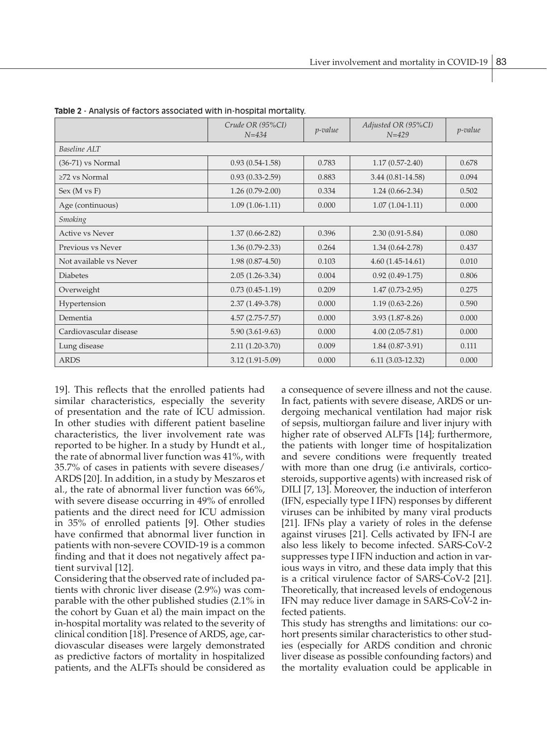|                        | Crude OR (95%CI)<br>$N = 4.34$ | p-value | Adjusted OR (95%CI)<br>$N = 429$ | <i>p</i> -value |  |  |  |
|------------------------|--------------------------------|---------|----------------------------------|-----------------|--|--|--|
| Baseline ALT           |                                |         |                                  |                 |  |  |  |
| (36-71) vs Normal      | $0.93(0.54-1.58)$              | 0.783   | $1.17(0.57 - 2.40)$              | 0.678           |  |  |  |
| $\geq$ 72 vs Normal    | $0.93(0.33 - 2.59)$            | 0.883   | 3.44 (0.81-14.58)                | 0.094           |  |  |  |
| Sex (M vs F)           | $1.26(0.79-2.00)$              | 0.334   | $1.24(0.66-2.34)$                | 0.502           |  |  |  |
| Age (continuous)       | $1.09(1.06-1.11)$              | 0.000   | $1.07(1.04-1.11)$                | 0.000           |  |  |  |
| <b>Smoking</b>         |                                |         |                                  |                 |  |  |  |
| Active ys Never        | $1.37(0.66 - 2.82)$            | 0.396   | $2.30(0.91 - 5.84)$              | 0.080           |  |  |  |
| Previous vs Never      | $1.36(0.79-2.33)$              | 0.264   | $1.34(0.64 - 2.78)$              | 0.437           |  |  |  |
| Not available vs Never | $1.98(0.87-4.50)$              | 0.103   | $4.60(1.45-14.61)$               | 0.010           |  |  |  |
| <b>Diabetes</b>        | $2.05(1.26-3.34)$              | 0.004   | $0.92(0.49-1.75)$                | 0.806           |  |  |  |
| Overweight             | $0.73(0.45-1.19)$              | 0.209   | $1.47(0.73-2.95)$                | 0.275           |  |  |  |
| Hypertension           | $2.37(1.49-3.78)$              | 0.000   | $1.19(0.63 - 2.26)$              | 0.590           |  |  |  |
| Dementia               | $4.57(2.75 - 7.57)$            | 0.000   | $3.93(1.87 - 8.26)$              | 0.000           |  |  |  |
| Cardiovascular disease | $5.90(3.61-9.63)$              | 0.000   | $4.00(2.05-7.81)$                | 0.000           |  |  |  |
| Lung disease           | $2.11(1.20-3.70)$              | 0.009   | $1.84(0.87-3.91)$                | 0.111           |  |  |  |
| <b>ARDS</b>            | 3.12 (1.91-5.09)               | 0.000   | $6.11(3.03-12.32)$               | 0.000           |  |  |  |

**Table 2** - Analysis of factors associated with in-hospital mortality.

19]. This reflects that the enrolled patients had similar characteristics, especially the severity of presentation and the rate of ICU admission. In other studies with different patient baseline characteristics, the liver involvement rate was reported to be higher. In a study by Hundt et al., the rate of abnormal liver function was 41%, with 35.7% of cases in patients with severe diseases/ ARDS [20]. In addition, in a study by Meszaros et al., the rate of abnormal liver function was 66%, with severe disease occurring in 49% of enrolled patients and the direct need for ICU admission in 35% of enrolled patients [9]. Other studies have confirmed that abnormal liver function in patients with non-severe COVID-19 is a common finding and that it does not negatively affect patient survival [12].

Considering that the observed rate of included patients with chronic liver disease (2.9%) was comparable with the other published studies (2.1% in the cohort by Guan et al) the main impact on the in-hospital mortality was related to the severity of clinical condition [18]. Presence of ARDS, age, cardiovascular diseases were largely demonstrated as predictive factors of mortality in hospitalized patients, and the ALFTs should be considered as a consequence of severe illness and not the cause. In fact, patients with severe disease, ARDS or undergoing mechanical ventilation had major risk of sepsis, multiorgan failure and liver injury with higher rate of observed ALFTs [14]; furthermore, the patients with longer time of hospitalization and severe conditions were frequently treated with more than one drug (i.e antivirals, corticosteroids, supportive agents) with increased risk of DILI [7, 13]. Moreover, the induction of interferon (IFN, especially type I IFN) responses by different viruses can be inhibited by many viral products [21]. IFNs play a variety of roles in the defense against viruses [21]. Cells activated by IFN-I are also less likely to become infected. SARS-CoV-2 suppresses type I IFN induction and action in various ways in vitro, and these data imply that this is a critical virulence factor of SARS-CoV-2 [21]. Theoretically, that increased levels of endogenous IFN may reduce liver damage in SARS-CoV-2 infected patients.

This study has strengths and limitations: our cohort presents similar characteristics to other studies (especially for ARDS condition and chronic liver disease as possible confounding factors) and the mortality evaluation could be applicable in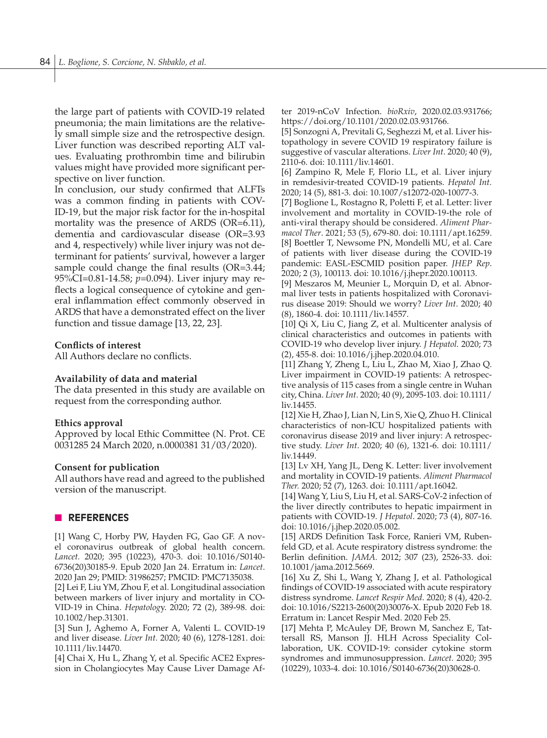the large part of patients with COVID-19 related pneumonia; the main limitations are the relatively small simple size and the retrospective design. Liver function was described reporting ALT values. Evaluating prothrombin time and bilirubin values might have provided more significant perspective on liver function.

In conclusion, our study confirmed that ALFTs was a common finding in patients with COV-ID-19, but the major risk factor for the in-hospital mortality was the presence of ARDS (OR=6.11), dementia and cardiovascular disease (OR=3.93 and 4, respectively) while liver injury was not determinant for patients' survival, however a larger sample could change the final results (OR=3.44; 95%CI=0.81-14.58; *p*=0.094). Liver injury may reflects a logical consequence of cytokine and general inflammation effect commonly observed in ARDS that have a demonstrated effect on the liver function and tissue damage [13, 22, 23].

#### **Conflicts of interest**

All Authors declare no conflicts.

#### **Availability of data and material**

The data presented in this study are available on request from the corresponding author.

#### **Ethics approval**

Approved by local Ethic Committee (N. Prot. CE 0031285 24 March 2020, n.0000381 31/03/2020).

#### **Consent for publication**

All authors have read and agreed to the published version of the manuscript.

#### n **REFERENCES**

[1] Wang C, Horby PW, Hayden FG, Gao GF. A novel coronavirus outbreak of global health concern. *Lancet.* 2020; 395 (10223), 470-3. doi: 10.1016/S0140- 6736(20)30185-9. Epub 2020 Jan 24. Erratum in: *Lancet*. 2020 Jan 29; PMID: 31986257; PMCID: PMC7135038.

[2] Lei F, Liu YM, Zhou F, et al. Longitudinal association between markers of liver injury and mortality in CO-VID-19 in China. *Hepatolog*y. 2020; 72 (2), 389-98. doi: 10.1002/hep.31301.

[3] Sun J, Aghemo A, Forner A, Valenti L. COVID-19 and liver disease. *Liver Int.* 2020; 40 (6), 1278-1281. doi: 10.1111/liv.14470.

[4] Chai X, Hu L, Zhang Y, et al*.* Specific ACE2 Expression in Cholangiocytes May Cause Liver Damage After 2019-nCoV Infection. *bioRxiv*, 2020.02.03.931766; https://doi.org/10.1101/2020.02.03.931766.

[5] Sonzogni A, Previtali G, Seghezzi M, et al. Liver histopathology in severe COVID 19 respiratory failure is suggestive of vascular alterations. *Liver Int*. 2020; 40 (9), 2110-6. doi: 10.1111/liv.14601.

[6] Zampino R, Mele F, Florio LL, et al. Liver injury in remdesivir-treated COVID-19 patients. *Hepatol Int.* 2020; 14 (5), 881-3. doi: 10.1007/s12072-020-10077-3.

[7] Boglione L, Rostagno R, Poletti F, et al. Letter: liver involvement and mortality in COVID-19-the role of anti-viral therapy should be considered. *Aliment Pharmacol Ther*. 2021; 53 (5), 679-80. doi: 10.1111/apt.16259. [8] Boettler T, Newsome PN, Mondelli MU, et al. Care of patients with liver disease during the COVID-19 pandemic: EASL-ESCMID position paper. *JHEP Rep*. 2020; 2 (3), 100113. doi: 10.1016/j.jhepr.2020.100113.

[9] Meszaros M, Meunier L, Morquin D, et al. Abnormal liver tests in patients hospitalized with Coronavirus disease 2019: Should we worry? *Liver Int*. 2020; 40 (8), 1860-4. doi: 10.1111/liv.14557.

[10] Qi X, Liu C, Jiang Z, et al. Multicenter analysis of clinical characteristics and outcomes in patients with COVID-19 who develop liver injury. *J Hepatol.* 2020; 73 (2), 455-8. doi: 10.1016/j.jhep.2020.04.010.

[11] Zhang Y, Zheng L, Liu L, Zhao M, Xiao J, Zhao Q. Liver impairment in COVID-19 patients: A retrospective analysis of 115 cases from a single centre in Wuhan city, China. *Liver Int.* 2020; 40 (9), 2095-103. doi: 10.1111/ liv.14455.

[12] Xie H, Zhao J, Lian N, Lin S, Xie Q, Zhuo H. Clinical characteristics of non-ICU hospitalized patients with coronavirus disease 2019 and liver injury: A retrospective study. *Liver Int*. 2020; 40 (6), 1321-6. doi: 10.1111/ liv.14449.

[13] Lv XH, Yang JL, Deng K. Letter: liver involvement and mortality in COVID-19 patients. *Aliment Pharmacol Ther.* 2020; 52 (7), 1263. doi: 10.1111/apt.16042.

[14] Wang Y, Liu S, Liu H, et al. SARS-CoV-2 infection of the liver directly contributes to hepatic impairment in patients with COVID-19. *J Hepatol*. 2020; 73 (4), 807-16. doi: 10.1016/j.jhep.2020.05.002.

[15] ARDS Definition Task Force, Ranieri VM, Rubenfeld GD, et al. Acute respiratory distress syndrome: the Berlin definition. *JAMA.* 2012; 307 (23), 2526-33. doi: 10.1001/jama.2012.5669.

[16] Xu Z, Shi L, Wang Y, Zhang J, et al. Pathological findings of COVID-19 associated with acute respiratory distress syndrome. *Lancet Respir Med*. 2020; 8 (4), 420-2. doi: 10.1016/S2213-2600(20)30076-X. Epub 2020 Feb 18. Erratum in: Lancet Respir Med. 2020 Feb 25.

[17] Mehta P, McAuley DF, Brown M, Sanchez E, Tattersall RS, Manson JJ. HLH Across Speciality Collaboration, UK. COVID-19: consider cytokine storm syndromes and immunosuppression. *Lancet.* 2020; 395 (10229), 1033-4. doi: 10.1016/S0140-6736(20)30628-0.